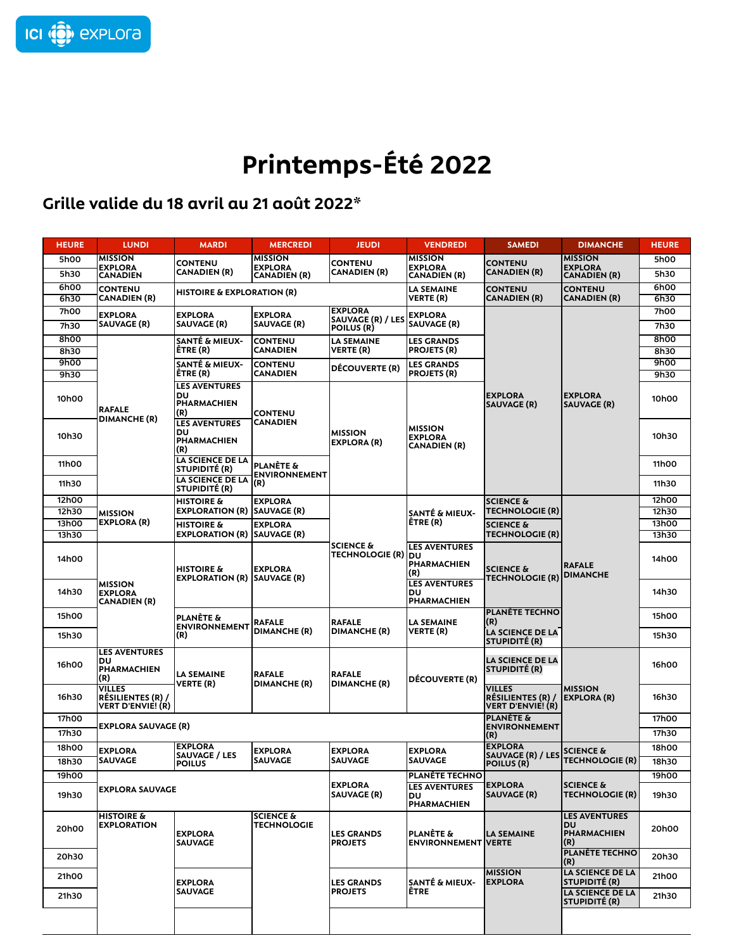

## **Printemps-Été 2022**

## **Grille valide du 18 avril au 21 août 2022\***

| <b>HEURE</b>   | <b>LUNDI</b>                                                                                         | <b>MARDI</b>                                                   | <b>MERCREDI</b>                                                                   | <b>JEUDI</b>                           | <b>VENDREDI</b>                                         | <b>SAMEDI</b>                                                         | <b>DIMANCHE</b>                                                                          | <b>HEURE</b>   |
|----------------|------------------------------------------------------------------------------------------------------|----------------------------------------------------------------|-----------------------------------------------------------------------------------|----------------------------------------|---------------------------------------------------------|-----------------------------------------------------------------------|------------------------------------------------------------------------------------------|----------------|
| 5h00           | <b>MISSION</b><br><b>EXPLORA</b><br><b>CANADIEN</b>                                                  | <b>CONTENU</b><br><b>CANADIEN (R)</b>                          | <b>MISSION</b><br><b>EXPLORA</b><br><b>CANADIEN (R)</b>                           | <b>CONTENU</b><br><b>CANADIEN (R)</b>  | <b>MISSION</b><br><b>EXPLORA</b><br><b>CANADIEN (R)</b> | <b>CONTENU</b><br><b>CANADIEN (R)</b>                                 | <b>MISSION</b>                                                                           | 5h00           |
| 5h30           |                                                                                                      |                                                                |                                                                                   |                                        |                                                         |                                                                       | <b>EXPLORA</b><br>CANADIEN (R)                                                           | 5h30           |
| 6h00           | <b>CONTENU</b><br><b>HISTOIRE &amp; EXPLORATION (R)</b>                                              |                                                                |                                                                                   |                                        | LA SEMAINE                                              | <b>CONTENU</b>                                                        | <b>CONTENU</b>                                                                           | 6h00           |
| 6h30           | <b>CANADIEN (R)</b>                                                                                  |                                                                |                                                                                   | VERTE (R)                              | <b>CANADIEN (R)</b>                                     | <b>CANADIEN (R)</b>                                                   | 6h30                                                                                     |                |
| 7h00           | <b>EXPLORA</b>                                                                                       | <b>EXPLORA</b>                                                 | <b>EXPLORA</b>                                                                    | <b>EXPLORA</b><br>SAUVAGE (R) / LES    | <b>EXPLORA</b>                                          |                                                                       |                                                                                          | 7h00           |
| 7h30           | <b>SAUVAGE (R)</b>                                                                                   | <b>SAUVAGE (R)</b>                                             | <b>SAUVAGE (R)</b>                                                                | <b>POILUS (R)</b>                      | <b>SAUVAGE (R)</b>                                      |                                                                       |                                                                                          | 7h30           |
| 8h00           |                                                                                                      | SANTÉ & MIEUX-                                                 | <b>CONTENU</b>                                                                    | <b>LA SEMAINE</b>                      | <b>LES GRANDS</b>                                       |                                                                       | 8h00                                                                                     |                |
| 8h30<br>9h00   |                                                                                                      | ËTRE (R)                                                       | <b>CANADIEN</b>                                                                   | VERTE (R)                              | <b>PROJETS (R)</b>                                      |                                                                       |                                                                                          | 8h30<br>9h00   |
| 9h30           |                                                                                                      | SANTÉ & MIEUX-<br>ËTRE (R)                                     | <b>CONTENU</b><br><b>CANADIEN</b>                                                 | <b>DÉCOUVERTE (R)</b>                  | <b>LES GRANDS</b><br><b>PROJETS (R)</b>                 |                                                                       |                                                                                          | 9h30           |
| 10h00          | <b>RAFALE</b><br><b>DIMANCHE (R)</b>                                                                 | <b>LES AVENTURES</b><br>IDU.<br>PHARMACHIEN<br>(R)             | <b>CONTENU</b><br><b>CANADIEN</b><br><b>PLANÈTE &amp;</b><br><b>ENVIRONNEMENT</b> | <b>MISSION</b><br><b>EXPLORA (R)</b>   | <b>MISSION</b><br><b>EXPLORA</b><br><b>CANADIEN (R)</b> | <b>EXPLORA</b><br><b>SAUVAGE (R)</b>                                  | <b>EXPLORA</b><br><b>SAUVAGE (R)</b>                                                     | 10h00          |
| 10h30          |                                                                                                      | <b>LES AVENTURES</b><br><b>DU</b><br><b>PHARMACHIEN</b><br>(R) |                                                                                   |                                        |                                                         |                                                                       |                                                                                          | 10h30          |
| 11h00          |                                                                                                      | LA SCIENCE DE LA<br><b>STUPIDITÉ (R)</b><br>LA SCIENCE DE LA   |                                                                                   |                                        |                                                         |                                                                       |                                                                                          | 11h00          |
| 11h30          |                                                                                                      | <b>STUPIDITÉ (R)</b>                                           | (R)                                                                               |                                        |                                                         |                                                                       |                                                                                          | 11h30          |
| 12h00          |                                                                                                      | <b>HISTOIRE &amp;</b>                                          | <b>EXPLORA</b>                                                                    |                                        |                                                         | <b>SCIENCE &amp;</b>                                                  | <b>RAFALE</b><br><b>DIMANCHE</b>                                                         | 12h00          |
| 12h30          | <b>MISSION</b><br><b>EXPLORA (R)</b>                                                                 | <b>EXPLORATION (R)</b>                                         | <b>SAUVAGE (R)</b>                                                                |                                        | <b>SANTÉ &amp; MIEUX-</b>                               | <b>TECHNOLOGIE (R)</b>                                                |                                                                                          | 12h30          |
| 13h00<br>13h30 |                                                                                                      | <b>HISTOIRE &amp;</b><br><b>EXPLORATION (R)</b>                | <b>EXPLORA</b><br><b>SAUVAGE (R)</b>                                              |                                        | ÊTRE (R)                                                | <b>SCIENCE &amp;</b><br><b>TECHNOLOGIE (R)</b>                        |                                                                                          | 13h00<br>13h30 |
| 14h00          | <b>MISSION</b><br><b>EXPLORA</b><br><b>CANADIEN (R)</b>                                              | <b>HISTOIRE &amp;</b><br><b>EXPLORATION (R) ISAUVAGE (R)</b>   | <b>EXPLORA</b>                                                                    | SCIENCE &<br><b>TECHNOLOGIE (R) DU</b> | <b>LES AVENTURES</b><br><b>PHARMACHIEN</b><br>(R)       | <b>SCIENCE &amp;</b><br><b>TECHNOLOGIE (R)</b>                        |                                                                                          | 14h00          |
| 14h30          |                                                                                                      |                                                                |                                                                                   |                                        | <b>LES AVENTURES</b><br><b>DU</b><br>PHARMACHIEN        |                                                                       |                                                                                          | 14h30          |
| 15h00          |                                                                                                      | <b>PLANÈTE &amp;</b><br><b>ENVIRONNEMENT</b><br>(R)            | <b>RAFALE</b><br><b>DIMANCHE (R)</b>                                              | <b>RAFALE</b><br><b>DIMANCHE (R)</b>   | <b>LA SEMAINE</b><br><b>VERTE (R)</b>                   | <b>PLANÈTE TECHNO</b><br>(R)                                          |                                                                                          | 15h00          |
| 15h30          |                                                                                                      |                                                                |                                                                                   |                                        |                                                         | <b>LA SCIENCE DE LA</b><br>STUPIDITÉ (R)                              |                                                                                          | 15h30          |
| 16h00          | <b>LES AVENTURES</b><br>DU<br>PHARMACHIEN<br>(R)<br>VILLES<br>RÉSILIENTES (R) /<br>VERT D'ENVIE! (R) | <b>LA SEMAINE</b><br><b>VERTE (R)</b>                          | <b>RAFALE</b><br><b>DIMANCHE (R)</b>                                              | RAFALE<br><b>DIMANCHE (R)</b>          | <b>DÉCOUVERTE (R)</b>                                   | <b>LA SCIENCE DE LA</b><br><b>STUPIDITÉ (R)</b>                       | <b>MISSION</b><br><b>EXPLORA (R)</b>                                                     | 16h00          |
| 16h30          |                                                                                                      |                                                                |                                                                                   |                                        |                                                         | <b>VILLES</b><br><b>RÉSILIENTES (R) /</b><br><b>VERT D'ENVIE! (R)</b> |                                                                                          | 16h30          |
| 17h00          | <b>EXPLORA SAUVAGE (R)</b>                                                                           |                                                                |                                                                                   |                                        |                                                         | <b>PLANÈTE &amp;</b><br><b>ENVIRONNEMENT</b>                          |                                                                                          | 17h00          |
| 17h30          |                                                                                                      |                                                                |                                                                                   |                                        |                                                         | (R)                                                                   |                                                                                          | 17h30          |
| 18h00          | <b>EXPLORA</b>                                                                                       | <b>EXPLORA</b><br><b>SAUVAGE / LES</b>                         | <b>EXPLORA</b>                                                                    | <b>EXPLORA</b>                         | <b>EXPLORA</b>                                          | <b>EXPLORA</b><br>SAUVAGE (R) / LES                                   | <b>SCIENCE &amp;</b>                                                                     | 18h00          |
| 18h30          | SAUVAGE                                                                                              | <b>POILUS</b>                                                  | SAUVAGE                                                                           | <b>SAUVAGE</b>                         | <b>SAUVAGE</b>                                          | <b>POILUS (R)</b>                                                     | <b>TECHNOLOGIE (R)</b>                                                                   | 18h30          |
| 19h00          |                                                                                                      |                                                                |                                                                                   |                                        | <b>PLANETE TECHNO</b>                                   |                                                                       |                                                                                          | 19h00          |
| 19h30          | <b>EXPLORA SAUVAGE</b>                                                                               |                                                                |                                                                                   | <b>EXPLORA</b><br><b>SAUVAGE (R)</b>   | <b>LES AVENTURES</b><br><b>DU</b><br>PHARMACHIEN        | <b>EXPLORA</b><br><b>SAUVAGE (R)</b>                                  | <b>SCIENCE &amp;</b><br><b>TECHNOLOGIE (R)</b>                                           | 19h30          |
| 20h00          | <b>HISTOIRE &amp;</b><br><b>EXPLORATION</b>                                                          | <b>EXPLORA</b><br><b>SAUVAGE</b>                               | <b>SCIENCE &amp;</b><br><b>TECHNOLOGIE</b>                                        | LES GRANDS<br><b>PROJETS</b>           | <b>PLANÈTE &amp;</b><br><b>ENVIRONNEMENT VERTE</b>      | LA SEMAINE                                                            | <b>LES AVENTURES</b><br><b>IDU</b><br><b>PHARMACHIEN</b><br>(R)<br><b>PLANÈTE TECHNO</b> | 20h00          |
| 20h30          |                                                                                                      |                                                                |                                                                                   |                                        |                                                         |                                                                       | (R)                                                                                      | 20h30          |
| 21h00          |                                                                                                      | <b>EXPLORA</b>                                                 |                                                                                   | <b>LES GRANDS</b>                      | SANTÉ & MIEUX-                                          | <b>MISSION</b><br><b>EXPLORA</b>                                      | <b>LA SCIENCE DE LA</b><br><b>STUPIDITÉ (R)</b>                                          | 21h00          |
| 21h30          |                                                                                                      | <b>SAUVAGE</b>                                                 |                                                                                   | <b>PROJETS</b>                         | <b>ETRE</b>                                             |                                                                       | <b>LA SCIENCE DE LA</b><br><b>STUPIDITÉ (R)</b>                                          | 21h30          |
|                |                                                                                                      |                                                                |                                                                                   |                                        |                                                         |                                                                       |                                                                                          |                |